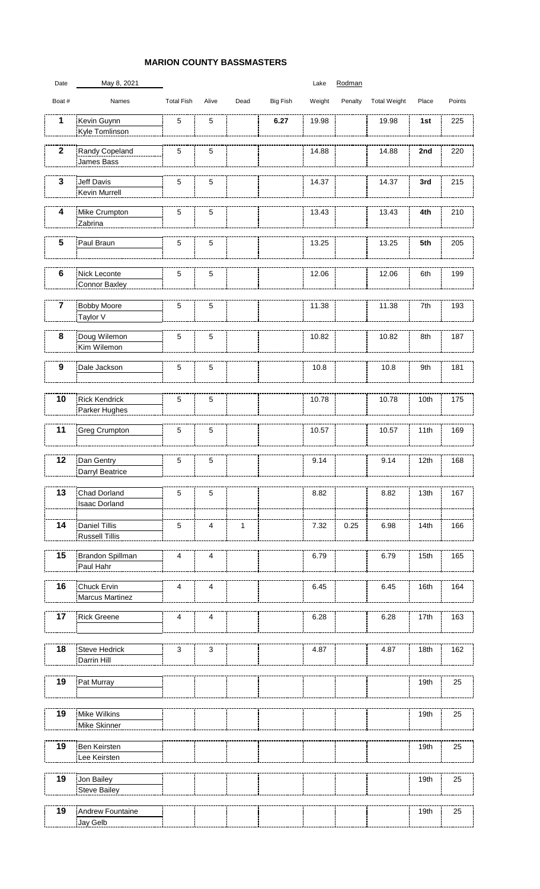## **MARION COUNTY BASSMASTERS**

| Date             | May 8, 2021                           |                         |                           |              |          | Lake   | Rodman  |                     |       |        |
|------------------|---------------------------------------|-------------------------|---------------------------|--------------|----------|--------|---------|---------------------|-------|--------|
| Boat #           | Names                                 | <b>Total Fish</b>       | Alive                     | Dead         | Big Fish | Weight | Penalty | <b>Total Weight</b> | Place | Points |
| 1                | Kevin Guynn<br>Kyle Tomlinson         | $\sqrt{5}$              | $\mathbf 5$               |              | 6.27     | 19.98  |         | 19.98               | 1st   | 225    |
| $\mathbf 2$      | Randy Copeland                        | $\sqrt{5}$              | $\mathbf 5$               |              |          | 14.88  |         | 14.88               | 2nd   | 220    |
|                  | James Bass                            |                         |                           |              |          |        |         |                     |       |        |
| 3                | Jeff Davis<br>Kevin Murrell           | 5                       | 5                         |              |          | 14.37  |         | 14.37               | 3rd   | 215    |
| 4                | Mike Crumpton<br>Zabrina              | 5                       | 5                         |              |          | 13.43  |         | 13.43               | 4th   | 210    |
| 5                | Paul Braun                            | 5                       | $\sqrt{5}$                |              |          | 13.25  |         | 13.25               | 5th   | 205    |
| $\bf 6$          | Nick Leconte<br>Connor Baxley         | 5                       | 5                         |              |          | 12.06  |         | 12.06               | 6th   | 199    |
| $\overline{7}$   | <b>Bobby Moore</b><br>Taylor V        | $\sqrt{5}$              | $\mathbf 5$               |              |          | 11.38  |         | 11.38               | 7th   | 193    |
| 8                | Doug Wilemon<br>Kim Wilemon           | 5                       | $\mathbf 5$               |              |          | 10.82  |         | 10.82               | 8th   | 187    |
| $\boldsymbol{9}$ | Dale Jackson                          | 5                       | 5                         |              |          | 10.8   |         | 10.8                | 9th   | 181    |
| 10               | <b>Rick Kendrick</b><br>Parker Hughes | 5                       | 5                         |              |          | 10.78  |         | 10.78               | 10th  | 175    |
| 11               | <b>Greg Crumpton</b>                  | 5                       | $\sqrt{5}$                |              |          | 10.57  |         | 10.57               | 11th  | 169    |
| 12               | Dan Gentry<br>Darryl Beatrice         | $\sqrt{5}$              | $\mathbf 5$               |              |          | 9.14   |         | 9.14                | 12th  | 168    |
| 13               | Chad Dorland<br><b>Isaac Dorland</b>  | 5                       | $\mathbf 5$               |              |          | 8.82   |         | 8.82                | 13th  | 167    |
| 14               | Daniel Tillis<br>Russell Tillis       | $\sqrt{5}$              | $\overline{4}$            | $\mathbf{1}$ |          | 7.32   | 0.25    | 6.98                | 14th  | 166    |
| 15               | Brandon Spillman<br>Paul Hahr         | $\overline{\mathbf{4}}$ | $\overline{\mathbf{4}}$   |              |          | 6.79   |         | 6.79                | 15th  | 165    |
| 16               | Chuck Ervin<br><b>Marcus Martinez</b> | 4                       | 4                         |              |          | 6.45   |         | 6.45                | 16th  | 164    |
| 17               | <b>Rick Greene</b>                    | 4                       | 4                         |              |          | 6.28   |         | 6.28                | 17th  | 163    |
| 18               | Steve Hedrick<br>Darrin Hill          | $\mathsf 3$             | $\ensuremath{\mathsf{3}}$ |              |          | 4.87   |         | 4.87                | 18th  | 162    |
| 19               | Pat Murray                            |                         |                           |              |          |        |         |                     | 19th  | 25     |
| 19               | Mike Wilkins<br>Mike Skinner          |                         |                           |              |          |        |         |                     | 19th  | 25     |
| 19               | <b>Ben Keirsten</b><br>Lee Keirsten   |                         |                           |              |          |        |         |                     | 19th  | 25     |
| 19               | Jon Bailey<br><b>Steve Bailey</b>     |                         |                           |              |          |        |         |                     | 19th  | 25     |
| 19               | Andrew Fountaine<br>Jay Gelb          |                         |                           |              |          |        |         |                     | 19th  | 25     |